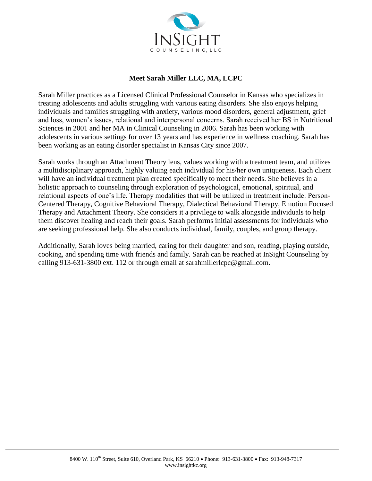

### **Meet Sarah Miller LLC, MA, LCPC**

Sarah Miller practices as a Licensed Clinical Professional Counselor in Kansas who specializes in treating adolescents and adults struggling with various eating disorders. She also enjoys helping individuals and families struggling with anxiety, various mood disorders, general adjustment, grief and loss, women's issues, relational and interpersonal concerns. Sarah received her BS in Nutritional Sciences in 2001 and her MA in Clinical Counseling in 2006. Sarah has been working with adolescents in various settings for over 13 years and has experience in wellness coaching. Sarah has been working as an eating disorder specialist in Kansas City since 2007.

Sarah works through an Attachment Theory lens, values working with a treatment team, and utilizes a multidisciplinary approach, highly valuing each individual for his/her own uniqueness. Each client will have an individual treatment plan created specifically to meet their needs. She believes in a holistic approach to counseling through exploration of psychological, emotional, spiritual, and relational aspects of one's life. Therapy modalities that will be utilized in treatment include: Person-Centered Therapy, Cognitive Behavioral Therapy, Dialectical Behavioral Therapy, Emotion Focused Therapy and Attachment Theory. She considers it a privilege to walk alongside individuals to help them discover healing and reach their goals. Sarah performs initial assessments for individuals who are seeking professional help. She also conducts individual, family, couples, and group therapy.

Additionally, Sarah loves being married, caring for their daughter and son, reading, playing outside, cooking, and spending time with friends and family. Sarah can be reached at InSight Counseling by calling  $913-631-3800$  ext. 112 or through email at [sarahmillerlcpc@gmail.com.](mailto:sarahmillerlcpc@gmail.com)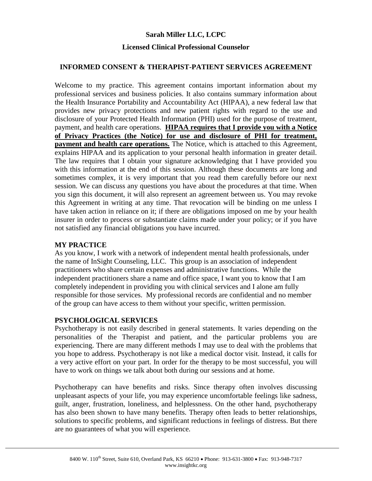### **Sarah Miller LLC, LCPC**

### **Licensed Clinical Professional Counselor**

### **INFORMED CONSENT & THERAPIST-PATIENT SERVICES AGREEMENT**

Welcome to my practice. This agreement contains important information about my professional services and business policies. It also contains summary information about the Health Insurance Portability and Accountability Act (HIPAA), a new federal law that provides new privacy protections and new patient rights with regard to the use and disclosure of your Protected Health Information (PHI) used for the purpose of treatment, payment, and health care operations. **HIPAA requires that I provide you with a Notice of Privacy Practices (the Notice) for use and disclosure of PHI for treatment, payment and health care operations.** The Notice, which is attached to this Agreement, explains HIPAA and its application to your personal health information in greater detail. The law requires that I obtain your signature acknowledging that I have provided you with this information at the end of this session. Although these documents are long and sometimes complex, it is very important that you read them carefully before our next session. We can discuss any questions you have about the procedures at that time. When you sign this document, it will also represent an agreement between us. You may revoke this Agreement in writing at any time. That revocation will be binding on me unless I have taken action in reliance on it; if there are obligations imposed on me by your health insurer in order to process or substantiate claims made under your policy; or if you have not satisfied any financial obligations you have incurred.

### **MY PRACTICE**

As you know, I work with a network of independent mental health professionals, under the name of InSight Counseling, LLC. This group is an association of independent practitioners who share certain expenses and administrative functions. While the independent practitioners share a name and office space, I want you to know that I am completely independent in providing you with clinical services and I alone am fully responsible for those services. My professional records are confidential and no member of the group can have access to them without your specific, written permission.

#### **PSYCHOLOGICAL SERVICES**

Psychotherapy is not easily described in general statements. It varies depending on the personalities of the Therapist and patient, and the particular problems you are experiencing. There are many different methods I may use to deal with the problems that you hope to address. Psychotherapy is not like a medical doctor visit. Instead, it calls for a very active effort on your part. In order for the therapy to be most successful, you will have to work on things we talk about both during our sessions and at home.

Psychotherapy can have benefits and risks. Since therapy often involves discussing unpleasant aspects of your life, you may experience uncomfortable feelings like sadness, guilt, anger, frustration, loneliness, and helplessness. On the other hand, psychotherapy has also been shown to have many benefits. Therapy often leads to better relationships, solutions to specific problems, and significant reductions in feelings of distress. But there are no guarantees of what you will experience.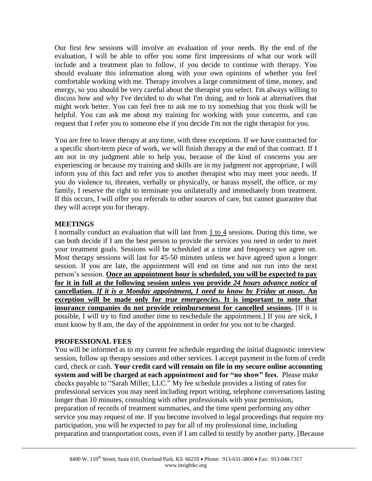Our first few sessions will involve an evaluation of your needs. By the end of the evaluation, I will be able to offer you some first impressions of what our work will include and a treatment plan to follow, if you decide to continue with therapy. You should evaluate this information along with your own opinions of whether you feel comfortable working with me. Therapy involves a large commitment of time, money, and energy, so you should be very careful about the therapist you select. I'm always willing to discuss how and why I've decided to do what I'm doing, and to look at alternatives that might work better. You can feel free to ask me to try something that you think will be helpful. You can ask me about my training for working with your concerns, and can request that I refer you to someone else if you decide I'm not the right therapist for you.

You are free to leave therapy at any time, with three exceptions. If we have contracted for a specific short-term piece of work, we will finish therapy at the end of that contract. If I am not in my judgment able to help you, because of the kind of concerns you are experiencing or because my training and skills are in my judgment not appropriate, I will inform you of this fact and refer you to another therapist who may meet your needs. If you do violence to, threaten, verbally or physically, or harass myself, the office, or my family, I reserve the right to terminate you unilaterally and immediately from treatment. If this occurs, I will offer you referrals to other sources of care, but cannot guarantee that they will accept you for therapy.

### **MEETINGS**

I normally conduct an evaluation that will last from 1 to 4 sessions. During this time, we can both decide if I am the best person to provide the services you need in order to meet your treatment goals. Sessions will be scheduled at a time and frequency we agree on. Most therapy sessions will last for 45-50 minutes unless we have agreed upon a longer session. If you are late, the appointment will end on time and not run into the next person's session. **Once an appointment hour is scheduled, you will be expected to pay for it in full at the following session unless you provide** *24 hours advance notice* **of cancellation.** *If it is a Monday appointment, I need to know by Friday at noon***. An exception will be made only for** *true emergencies***. It is important to note that insurance companies do not provide reimbursement for cancelled sessions.** [If it is possible, I will try to find another time to reschedule the appointment.] If you are sick, I must know by 8 am, the day of the appointment in order for you not to be charged.

## **PROFESSIONAL FEES**

You will be informed as to my current fee schedule regarding the initial diagnostic interview session, follow up therapy sessions and other services. I accept payment in the form of credit card, check or cash. **Your credit card will remain on file in my secure online accounting system and will be charged at each appointment and for "no show" fees**. Please make checks payable to "Sarah Miller, LLC." My fee schedule provides a listing of rates for professional services you may need including report writing, telephone conversations lasting longer than 10 minutes, consulting with other professionals with your permission, preparation of records of treatment summaries, and the time spent performing any other service you may request of me. If you become involved in legal proceedings that require my participation, you will be expected to pay for all of my professional time, including preparation and transportation costs, even if I am called to testify by another party. [Because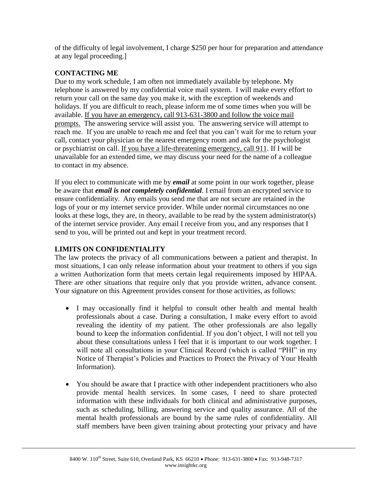of the difficulty of legal involvement, I charge \$250 per hour for preparation and attendance at any legal proceeding.]

## **CONTACTING ME**

Due to my work schedule, I am often not immediately available by telephone. My telephone is answered by my confidential voice mail system. I will make every effort to return your call on the same day you make it, with the exception of weekends and holidays. If you are difficult to reach, please inform me of some times when you will be available. If you have an emergency, call 913-631-3800 and follow the voice mail prompts. The answering service will assist you. The answering service will attempt to reach me. If you are unable to reach me and feel that you can't wait for me to return your call, contact your physician or the nearest emergency room and ask for the psychologist or psychiatrist on call. If you have a life-threatening emergency, call 911. If I will be unavailable for an extended time, we may discuss your need for the name of a colleague to contact in my absence.

If you elect to communicate with me by *email* at some point in our work together, please be aware that *email is not completely confidential*. I email from an encrypted service to ensure confidentiality. Any emails you send me that are not secure are retained in the logs of your or my internet service provider. While under normal circumstances no one looks at these logs, they are, in theory, available to be read by the system administrator(s) of the internet service provider. Any email I receive from you, and any responses that I send to you, will be printed out and kept in your treatment record.

# **LIMITS ON CONFIDENTIALITY**

The law protects the privacy of all communications between a patient and therapist. In most situations, I can only release information about your treatment to others if you sign a written Authorization form that meets certain legal requirements imposed by HIPAA. There are other situations that require only that you provide written, advance consent. Your signature on this Agreement provides consent for those activities, as follows:

- I may occasionally find it helpful to consult other health and mental health professionals about a case. During a consultation, I make every effort to avoid revealing the identity of my patient. The other professionals are also legally bound to keep the information confidential. If you don't object, I will not tell you about these consultations unless I feel that it is important to our work together. I will note all consultations in your Clinical Record (which is called "PHI" in my Notice of Therapist's Policies and Practices to Protect the Privacy of Your Health Information).
- You should be aware that I practice with other independent practitioners who also provide mental health services. In some cases, I need to share protected information with these individuals for both clinical and administrative purposes, such as scheduling, billing, answering service and quality assurance. All of the mental health professionals are bound by the same rules of confidentiality. All staff members have been given training about protecting your privacy and have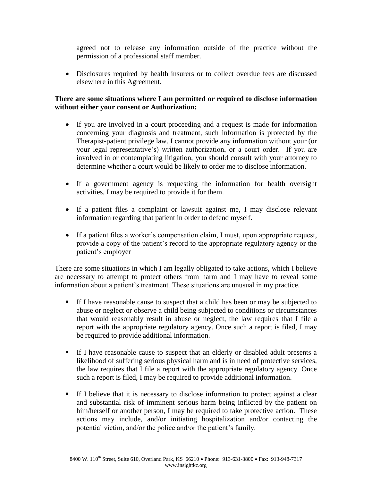agreed not to release any information outside of the practice without the permission of a professional staff member.

 Disclosures required by health insurers or to collect overdue fees are discussed elsewhere in this Agreement.

### **There are some situations where I am permitted or required to disclose information without either your consent or Authorization:**

- If you are involved in a court proceeding and a request is made for information concerning your diagnosis and treatment, such information is protected by the Therapist-patient privilege law. I cannot provide any information without your (or your legal representative's) written authorization, or a court order. If you are involved in or contemplating litigation, you should consult with your attorney to determine whether a court would be likely to order me to disclose information.
- If a government agency is requesting the information for health oversight activities, I may be required to provide it for them.
- If a patient files a complaint or lawsuit against me, I may disclose relevant information regarding that patient in order to defend myself.
- If a patient files a worker's compensation claim, I must, upon appropriate request, provide a copy of the patient's record to the appropriate regulatory agency or the patient's employer

There are some situations in which I am legally obligated to take actions, which I believe are necessary to attempt to protect others from harm and I may have to reveal some information about a patient's treatment. These situations are unusual in my practice.

- If I have reasonable cause to suspect that a child has been or may be subjected to abuse or neglect or observe a child being subjected to conditions or circumstances that would reasonably result in abuse or neglect, the law requires that I file a report with the appropriate regulatory agency. Once such a report is filed, I may be required to provide additional information.
- If I have reasonable cause to suspect that an elderly or disabled adult presents a likelihood of suffering serious physical harm and is in need of protective services, the law requires that I file a report with the appropriate regulatory agency. Once such a report is filed, I may be required to provide additional information.
- If I believe that it is necessary to disclose information to protect against a clear and substantial risk of imminent serious harm being inflicted by the patient on him/herself or another person, I may be required to take protective action. These actions may include, and/or initiating hospitalization and/or contacting the potential victim, and/or the police and/or the patient's family.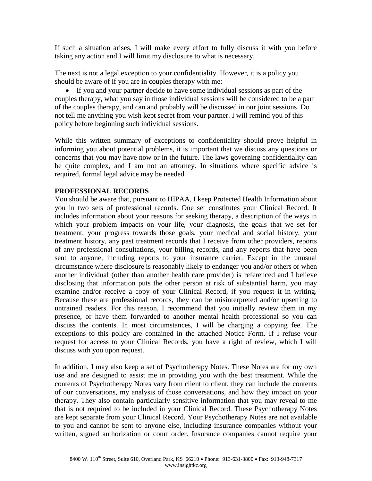If such a situation arises, I will make every effort to fully discuss it with you before taking any action and I will limit my disclosure to what is necessary.

The next is not a legal exception to your confidentiality. However, it is a policy you should be aware of if you are in couples therapy with me:

 If you and your partner decide to have some individual sessions as part of the couples therapy, what you say in those individual sessions will be considered to be a part of the couples therapy, and can and probably will be discussed in our joint sessions. Do not tell me anything you wish kept secret from your partner. I will remind you of this policy before beginning such individual sessions.

While this written summary of exceptions to confidentiality should prove helpful in informing you about potential problems, it is important that we discuss any questions or concerns that you may have now or in the future. The laws governing confidentiality can be quite complex, and I am not an attorney. In situations where specific advice is required, formal legal advice may be needed.

### **PROFESSIONAL RECORDS**

You should be aware that, pursuant to HIPAA, I keep Protected Health Information about you in two sets of professional records. One set constitutes your Clinical Record. It includes information about your reasons for seeking therapy, a description of the ways in which your problem impacts on your life, your diagnosis, the goals that we set for treatment, your progress towards those goals, your medical and social history, your treatment history, any past treatment records that I receive from other providers, reports of any professional consultations, your billing records, and any reports that have been sent to anyone, including reports to your insurance carrier. Except in the unusual circumstance where disclosure is reasonably likely to endanger you and/or others or when another individual (other than another health care provider) is referenced and I believe disclosing that information puts the other person at risk of substantial harm, you may examine and/or receive a copy of your Clinical Record, if you request it in writing. Because these are professional records, they can be misinterpreted and/or upsetting to untrained readers. For this reason, I recommend that you initially review them in my presence, or have them forwarded to another mental health professional so you can discuss the contents. In most circumstances, I will be charging a copying fee. The exceptions to this policy are contained in the attached Notice Form. If I refuse your request for access to your Clinical Records, you have a right of review, which I will discuss with you upon request.

In addition, I may also keep a set of Psychotherapy Notes. These Notes are for my own use and are designed to assist me in providing you with the best treatment. While the contents of Psychotherapy Notes vary from client to client, they can include the contents of our conversations, my analysis of those conversations, and how they impact on your therapy. They also contain particularly sensitive information that you may reveal to me that is not required to be included in your Clinical Record. These Psychotherapy Notes are kept separate from your Clinical Record. Your Psychotherapy Notes are not available to you and cannot be sent to anyone else, including insurance companies without your written, signed authorization or court order. Insurance companies cannot require your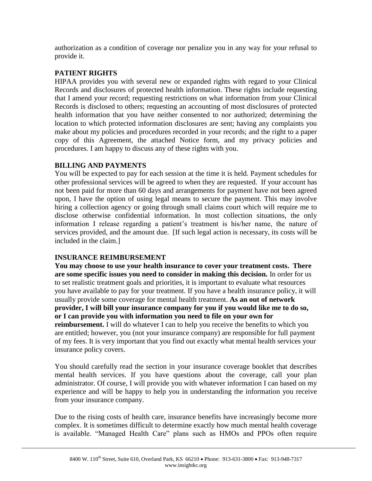authorization as a condition of coverage nor penalize you in any way for your refusal to provide it.

### **PATIENT RIGHTS**

HIPAA provides you with several new or expanded rights with regard to your Clinical Records and disclosures of protected health information. These rights include requesting that I amend your record; requesting restrictions on what information from your Clinical Records is disclosed to others; requesting an accounting of most disclosures of protected health information that you have neither consented to nor authorized; determining the location to which protected information disclosures are sent; having any complaints you make about my policies and procedures recorded in your records; and the right to a paper copy of this Agreement, the attached Notice form, and my privacy policies and procedures. I am happy to discuss any of these rights with you.

### **BILLING AND PAYMENTS**

You will be expected to pay for each session at the time it is held. Payment schedules for other professional services will be agreed to when they are requested. If your account has not been paid for more than 60 days and arrangements for payment have not been agreed upon, I have the option of using legal means to secure the payment. This may involve hiring a collection agency or going through small claims court which will require me to disclose otherwise confidential information. In most collection situations, the only information I release regarding a patient's treatment is his/her name, the nature of services provided, and the amount due. [If such legal action is necessary, its costs will be included in the claim.]

### **INSURANCE REIMBURSEMENT**

**You may choose to use your health insurance to cover your treatment costs. There are some specific issues you need to consider in making this decision.** In order for us to set realistic treatment goals and priorities, it is important to evaluate what resources you have available to pay for your treatment. If you have a health insurance policy, it will usually provide some coverage for mental health treatment. **As an out of network provider, I will bill your insurance company for you if you would like me to do so, or I can provide you with information you need to file on your own for reimbursement.** I will do whatever I can to help you receive the benefits to which you are entitled; however, you (not your insurance company) are responsible for full payment of my fees. It is very important that you find out exactly what mental health services your insurance policy covers.

You should carefully read the section in your insurance coverage booklet that describes mental health services. If you have questions about the coverage, call your plan administrator. Of course, I will provide you with whatever information I can based on my experience and will be happy to help you in understanding the information you receive from your insurance company.

Due to the rising costs of health care, insurance benefits have increasingly become more complex. It is sometimes difficult to determine exactly how much mental health coverage is available. "Managed Health Care" plans such as HMOs and PPOs often require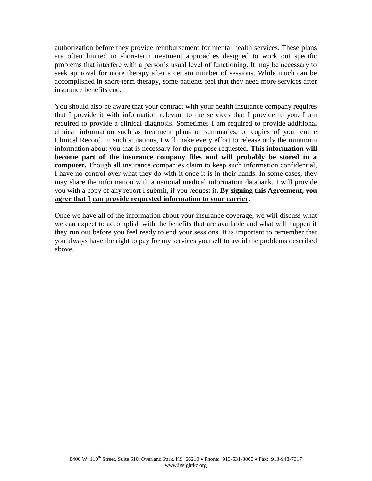authorization before they provide reimbursement for mental health services. These plans are often limited to short-term treatment approaches designed to work out specific problems that interfere with a person's usual level of functioning. It may be necessary to seek approval for more therapy after a certain number of sessions. While much can be accomplished in short-term therapy, some patients feel that they need more services after insurance benefits end.

You should also be aware that your contract with your health insurance company requires that I provide it with information relevant to the services that I provide to you. I am required to provide a clinical diagnosis. Sometimes I am required to provide additional clinical information such as treatment plans or summaries, or copies of your entire Clinical Record. In such situations, I will make every effort to release only the minimum information about you that is necessary for the purpose requested. **This information will become part of the insurance company files and will probably be stored in a computer.** Though all insurance companies claim to keep such information confidential, I have no control over what they do with it once it is in their hands. In some cases, they may share the information with a national medical information databank. I will provide you with a copy of any report I submit, if you request it**. By signing this Agreement, you agree that I can provide requested information to your carrier.**

Once we have all of the information about your insurance coverage, we will discuss what we can expect to accomplish with the benefits that are available and what will happen if they run out before you feel ready to end your sessions. It is important to remember that you always have the right to pay for my services yourself to avoid the problems described above.